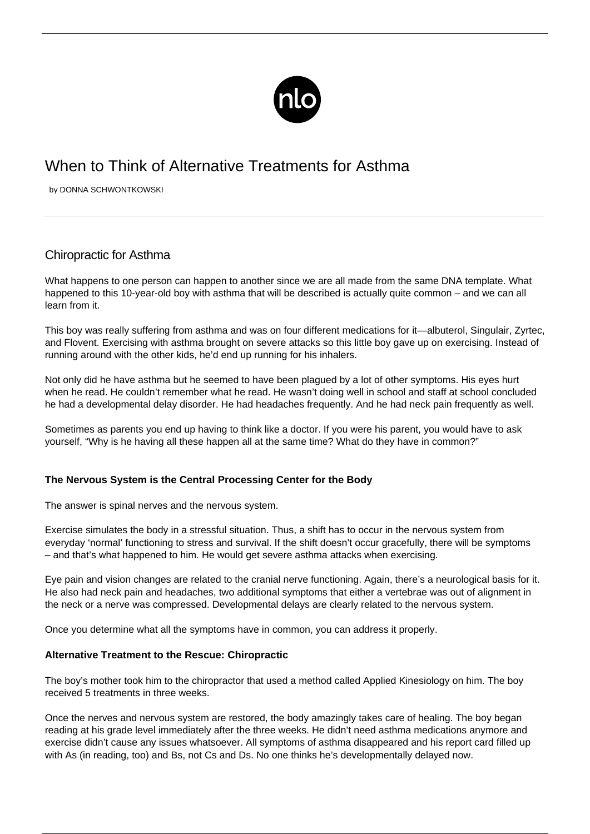

# When to Think of Alternative Treatments for Asthma

by DONNA SCHWONTKOWSKI

## Chiropractic for Asthma

What happens to one person can happen to another since we are all made from the same DNA template. What happened to this 10-year-old boy with asthma that will be described is actually quite common – and we can all learn from it.

This boy was really suffering from asthma and was on four different medications for it—albuterol, Singulair, Zyrtec, and Flovent. [Exercising with asthma](/asthma-and-exercise/) brought on severe attacks so this little boy gave up on exercising. Instead of running around with the other kids, he'd end up running for his inhalers.

Not only did he have asthma but he seemed to have been plagued by a lot of other symptoms. His eyes hurt when he read. He couldn't remember what he read. He wasn't doing well in school and staff at school concluded he had a developmental delay disorder. He had headaches frequently. And he had neck pain frequently as well.

Sometimes as parents you end up having to think like a doctor. If you were his parent, you would have to ask yourself, "Why is he having all these happen all at the same time? What do they have in common?"

#### **The Nervous System is the Central Processing Center for the Body**

The answer is spinal nerves and the nervous system.

Exercise simulates the body in a stressful situation. Thus, a shift has to occur in the nervous system from everyday 'normal' functioning to stress and survival. If the shift doesn't occur gracefully, there will be symptoms – and that's what happened to him. He would get severe asthma attacks when exercising.

Eye pain and vision changes are related to the cranial nerve functioning. Again, there's a neurological basis for it. He also had neck pain and headaches, two additional symptoms that either a vertebrae was out of alignment in the neck or a nerve was compressed. Developmental delays are clearly related to the nervous system.

Once you determine what all the symptoms have in common, you can address it properly.

#### **Alternative Treatment to the Rescue: Chiropractic**

The boy's mother took him to the chiropractor that used a method called Applied Kinesiology on him. The boy received 5 treatments in three weeks.

Once the nerves and nervous system are restored, the body amazingly takes care of healing. The boy began reading at his grade level immediately after the three weeks. He didn't need asthma medications anymore and exercise didn't cause any issues whatsoever. All symptoms of asthma disappeared and his report card filled up with As (in reading, too) and Bs, not Cs and Ds. No one thinks he's developmentally delayed now.